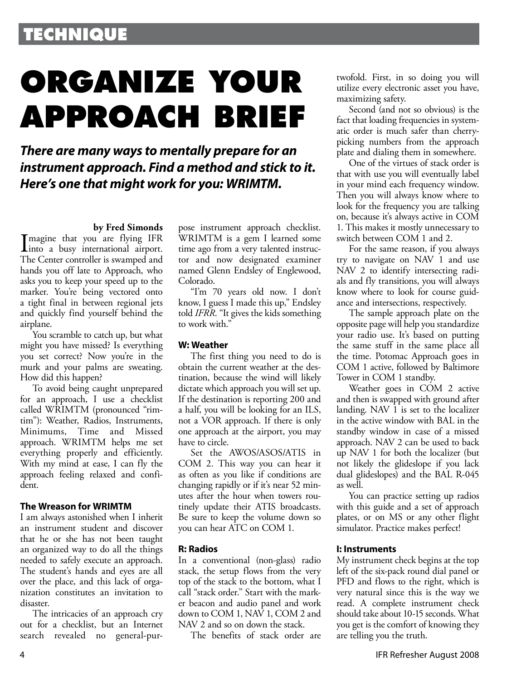### **TECHNIQUE**

# **ORGANIZE YOUR APPROACH BRIEF**

**There are many ways to mentally prepare for an instrument approach. Find a method and stick to it. Here's one that might work for you: WRIMTM.**

### **by Fred Simonds**

Imagine that you are flying IFR<br>into a busy international airport. into a busy international airport. The Center controller is swamped and hands you off late to Approach, who asks you to keep your speed up to the marker. You're being vectored onto a tight final in between regional jets and quickly find yourself behind the airplane.

You scramble to catch up, but what might you have missed? Is everything you set correct? Now you're in the murk and your palms are sweating. How did this happen?

To avoid being caught unprepared for an approach, I use a checklist called WRIMTM (pronounced "rimtim"): Weather, Radios, Instruments, Minimums, Time and Missed approach. WRIMTM helps me set everything properly and efficiently. With my mind at ease, I can fly the approach feeling relaxed and confident.

### **The Wreason for WRIMTM**

I am always astonished when I inherit an instrument student and discover that he or she has not been taught an organized way to do all the things needed to safely execute an approach. The student's hands and eyes are all over the place, and this lack of organization constitutes an invitation to disaster.

The intricacies of an approach cry out for a checklist, but an Internet search revealed no general-purpose instrument approach checklist. WRIMTM is a gem I learned some time ago from a very talented instructor and now designated examiner named Glenn Endsley of Englewood, Colorado.

"I'm 70 years old now. I don't know, I guess I made this up," Endsley told *IFRR*. "It gives the kids something to work with."

### **W: Weather**

The first thing you need to do is obtain the current weather at the destination, because the wind will likely dictate which approach you will set up. If the destination is reporting 200 and a half, you will be looking for an ILS, not a VOR approach. If there is only one approach at the airport, you may have to circle.

Set the AWOS/ASOS/ATIS in COM 2. This way you can hear it as often as you like if conditions are changing rapidly or if it's near 52 minutes after the hour when towers routinely update their ATIS broadcasts. Be sure to keep the volume down so you can hear ATC on COM 1.

### **R: Radios**

In a conventional (non-glass) radio stack, the setup flows from the very top of the stack to the bottom, what I call "stack order." Start with the marker beacon and audio panel and work down to COM 1, NAV 1, COM 2 and NAV 2 and so on down the stack.

The benefits of stack order are

twofold. First, in so doing you will utilize every electronic asset you have, maximizing safety.

Second (and not so obvious) is the fact that loading frequencies in systematic order is much safer than cherry picking numbers from the approach plate and dialing them in somewhere.

One of the virtues of stack order is that with use you will eventually label in your mind each frequency window. Then you will always know where to look for the frequency you are talking on, because it's always active in COM 1. This makes it mostly unnecessary to switch between COM 1 and 2.

For the same reason, if you always try to navigate on NAV 1 and use NAV 2 to identify intersecting radials and fly transitions, you will always know where to look for course guidance and intersections, respectively.

The sample approach plate on the opposite page will help you standardize your radio use. It's based on putting the same stuff in the same place all the time. Potomac Approach goes in COM 1 active, followed by Baltimore Tower in COM 1 standby.

Weather goes in COM 2 active and then is swapped with ground after landing. NAV 1 is set to the localizer in the active window with BAL in the standby window in case of a missed approach. NAV 2 can be used to back up NAV 1 for both the localizer (but not likely the glideslope if you lack dual glideslopes) and the BAL R-045 as well.

You can practice setting up radios with this guide and a set of approach plates, or on MS or any other flight simulator. Practice makes perfect!

### **I: Instruments**

My instrument check begins at the top left of the six-pack round dial panel or PFD and flows to the right, which is very natural since this is the way we read. A complete instrument check should take about 10-15 seconds. What you get is the comfort of knowing they are telling you the truth.